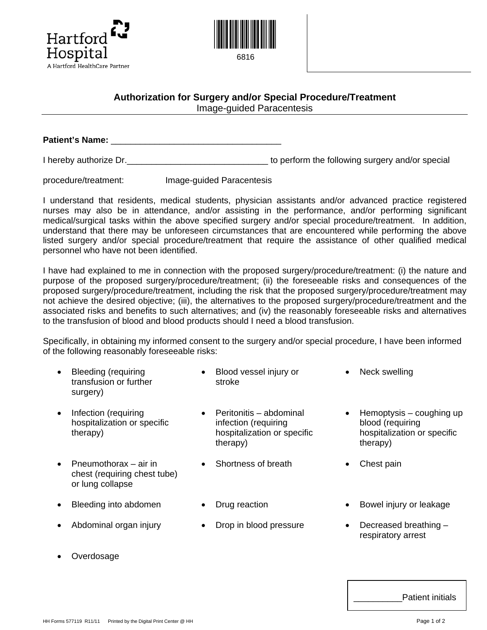



## **Authorization for Surgery and/or Special Procedure/Treatment**  Image-guided Paracentesis

**Patient's Name:** \_\_\_\_\_\_\_\_\_\_\_\_\_\_\_\_\_\_\_\_\_\_\_\_\_\_\_\_\_\_\_\_\_\_\_

I hereby authorize Dr.  $\blacksquare$ 

procedure/treatment: Image-guided Paracentesis

I understand that residents, medical students, physician assistants and/or advanced practice registered nurses may also be in attendance, and/or assisting in the performance, and/or performing significant medical/surgical tasks within the above specified surgery and/or special procedure/treatment. In addition, understand that there may be unforeseen circumstances that are encountered while performing the above listed surgery and/or special procedure/treatment that require the assistance of other qualified medical personnel who have not been identified.

I have had explained to me in connection with the proposed surgery/procedure/treatment: (i) the nature and purpose of the proposed surgery/procedure/treatment; (ii) the foreseeable risks and consequences of the proposed surgery/procedure/treatment, including the risk that the proposed surgery/procedure/treatment may not achieve the desired objective; (iii), the alternatives to the proposed surgery/procedure/treatment and the associated risks and benefits to such alternatives; and (iv) the reasonably foreseeable risks and alternatives to the transfusion of blood and blood products should I need a blood transfusion.

Specifically, in obtaining my informed consent to the surgery and/or special procedure, I have been informed of the following reasonably foreseeable risks:

- Bleeding (requiring transfusion or further surgery)
- Infection (requiring hospitalization or specific therapy)
- Pneumothorax air in chest (requiring chest tube) or lung collapse
- 
- 
- **Overdosage**
- Blood vessel injury or stroke
- Peritonitis abdominal infection (requiring hospitalization or specific therapy)
- Shortness of breath Chest pain
- 
- Abdominal organ injury Drop in blood pressure Decreased breathing –
- Neck swelling
- Hemoptysis coughing up blood (requiring hospitalization or specific therapy)
- 
- Bleeding into abdomen Drug reaction Bowel injury or leakage
	- respiratory arrest

| <b>Patient initials</b> |
|-------------------------|
|-------------------------|